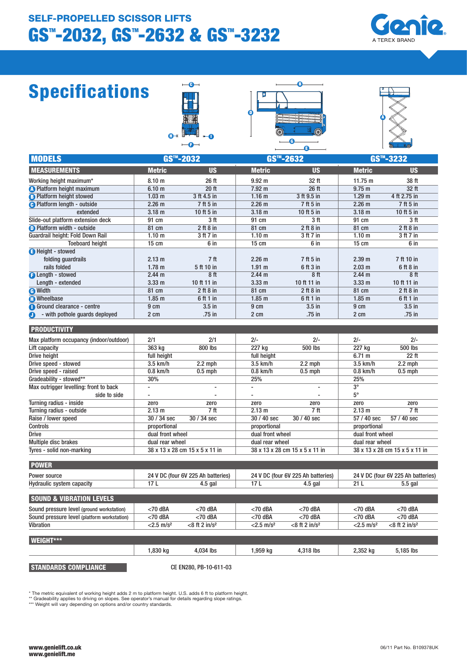# GS™-2032, GS™-2632 & GS™-3232 SELF-PROPELLED SCISSOR LIFTS



# Specifications







| <b>MODELS</b>                               | <b>GS™-2032</b>                |                                    | <b>GS™-2632</b>                |                                    | <b>GS™-3232</b>                |                                    |
|---------------------------------------------|--------------------------------|------------------------------------|--------------------------------|------------------------------------|--------------------------------|------------------------------------|
| <b>MEASUREMENTS</b>                         | <b>Metric</b>                  | <b>US</b>                          | <b>Metric</b>                  | <b>US</b>                          | <b>Metric</b>                  | <b>US</b>                          |
| Working height maximum*                     | 8.10 <sub>m</sub>              | 26 ft                              | 9.92 <sub>m</sub>              | 32 ft                              | $11.75 \text{ m}$              | 38 ft                              |
| <b>O</b> Platform height maximum            | 6.10 <sub>m</sub>              | 20 ft                              | $7.92 \text{ m}$               | 26 ft                              | $9.75$ m                       | 32 ft                              |
| <b>B</b> Platform height stowed             | 1.03 <sub>m</sub>              | 3 ft 4.5 in                        | 1.16 <sub>m</sub>              | 3 ft 9.5 in                        | 1.29 <sub>m</sub>              | 4 ft 2.75 in                       |
| <b>A</b> Platform length - outside          | 2.26 <sub>m</sub>              | 7 ft 5 in                          | 2.26 <sub>m</sub>              | 7 ft 5 in                          | 2.26 <sub>m</sub>              | 7 ft 5 in                          |
| extended                                    | 3.18 <sub>m</sub>              | 10 ft 5 in                         | 3.18 <sub>m</sub>              | 10 ft 5 in                         | 3.18 <sub>m</sub>              | 10 ft 5 in                         |
| Slide-out platform extension deck           | 91 cm                          | 3 <sub>ft</sub>                    | 91 cm                          | 3ft                                | 91 cm                          | 3ft                                |
| <b>D</b> Platform width - outside           | 81 cm                          | $2$ ft $8$ in                      | 81 cm                          | $2$ ft $8$ in                      | 81 cm                          | $2$ ft $8$ in                      |
| Guardrail height: Fold Down Rail            | 1.10 <sub>m</sub>              | 3 ft 7 in                          | 1.10 <sub>m</sub>              | 3 ft 7 in                          | 1.10 <sub>m</sub>              | 3 ft 7 in                          |
| <b>Toeboard height</b>                      | $15 \text{ cm}$                | 6 in                               | $15 \text{ cm}$                | 6 in                               | $15 \text{ cm}$                | 6 in                               |
| Height - stowed                             |                                |                                    |                                |                                    |                                |                                    |
| folding guardrails                          | $2.13 \text{ m}$               | 7 <sub>ft</sub>                    | 2.26 <sub>m</sub>              | 7 ft 5 in                          | 2.39 <sub>m</sub>              | 7 ft 10 in                         |
| rails folded                                | 1.78 <sub>m</sub>              | 5 ft 10 in                         | $1.91$ m                       | 6 ft 3 in                          | 2.03 <sub>m</sub>              | 6 ft 8 in                          |
| <b>B</b> Length - stowed                    | 2.44 m                         | 8ft                                | 2.44 m                         | 8 ft                               | 2.44 <sub>m</sub>              | 8ft                                |
| Length - extended                           | 3.33 <sub>m</sub>              | 10 ft 11 in                        | 3.33 <sub>m</sub>              | 10 ft 11 in                        | 3.33 <sub>m</sub>              | 10 ft 11 in                        |
| <b>A</b> Width                              | 81 cm                          | $2$ ft $8$ in                      | 81 cm                          | $2$ ft $8$ in                      | 81 cm                          | $2$ ft $8$ in                      |
| <b>n</b> Wheelbase                          | $1.85$ m                       | 6 ft 1 in                          | 1.85 <sub>m</sub>              | 6 ft 1 in                          | $1.85$ m                       | 6 ft 1 in                          |
| Ground clearance - centre                   | 9 cm                           | $3.5$ in                           | 9 cm                           | $3.5$ in                           | 9 cm                           | $3.5$ in                           |
| - with pothole guards deployed<br>∩         | 2 cm                           | .75 in                             | 2 cm                           | .75 in                             | 2 cm                           | .75 in                             |
|                                             |                                |                                    |                                |                                    |                                |                                    |
| <b>PRODUCTIVITY</b>                         |                                |                                    |                                |                                    |                                |                                    |
| Max platform occupancy (indoor/outdoor)     | 2/1                            | 2/1                                | $2/-$                          | $2/-$                              | $2/-$                          | $2/-$                              |
| Lift capacity                               | 363 kg                         | 800 lbs                            | 227 kg                         | <b>500 lbs</b>                     | 227 kg                         | <b>500 lbs</b>                     |
| Drive height                                | full height                    |                                    | full height                    |                                    | 6.71 m                         | 22 ft                              |
| Drive speed - stowed                        | 3.5 km/h                       | $2.2$ mph                          | 3.5 km/h                       | $2.2$ mph                          | $3.5$ km/h                     | $2.2$ mph                          |
| Drive speed - raised                        | $0.8$ km/h                     | $0.5$ mph                          | 0.8 km/h                       | $0.5$ mph                          | $0.8$ km/h                     | $0.5$ mph                          |
| Gradeability - stowed**                     | 30%                            |                                    | 25%                            |                                    | 25%                            |                                    |
| Max outrigger levelling: front to back      | $\overline{a}$                 |                                    | $\overline{a}$                 | $\overline{a}$                     | $3^\circ$                      |                                    |
| side to side                                | $\overline{a}$                 | $\overline{a}$                     | $\overline{a}$                 | L,                                 | $5^\circ$                      |                                    |
| Turning radius - inside                     | zero                           | zero                               | zero                           | zero                               | zero                           | zero                               |
| Turning radius - outside                    | 2.13 m                         | 7 <sub>ft</sub>                    | 2.13 <sub>m</sub>              | 7 <sup>ft</sup>                    | 2.13 m                         | 7 ft                               |
| Raise / lower speed                         | 30 / 34 sec                    | 30 / 34 sec                        | 30 / 40 sec                    | 30 / 40 sec                        | 57 / 40 sec                    | 57 / 40 sec                        |
| <b>Controls</b>                             | proportional                   |                                    | proportional                   |                                    | proportional                   |                                    |
| <b>Drive</b>                                | dual front wheel               |                                    | dual front wheel               |                                    | dual front wheel               |                                    |
| Multiple disc brakes                        | dual rear wheel                |                                    | dual rear wheel                |                                    | dual rear wheel                |                                    |
| Tyres - solid non-marking                   | 38 x 13 x 28 cm 15 x 5 x 11 in |                                    | 38 x 13 x 28 cm 15 x 5 x 11 in |                                    | 38 x 13 x 28 cm 15 x 5 x 11 in |                                    |
| <b>POWER</b>                                |                                |                                    |                                |                                    |                                |                                    |
| Power source                                |                                | 24 V DC (four 6V 225 Ah batteries) |                                | 24 V DC (four 6V 225 Ah batteries) |                                | 24 V DC (four 6V 225 Ah batteries) |
| <b>Hydraulic system capacity</b>            | 17L                            | $4.5$ gal                          | 17L                            | $4.5$ gal                          | 21L                            | 5.5 gal                            |
|                                             |                                |                                    |                                |                                    |                                |                                    |
| <b>SOUND &amp; VIBRATION LEVELS</b>         |                                |                                    |                                |                                    |                                |                                    |
| Sound pressure level (ground workstation)   | <70 dBA                        | $<$ 70 dBA                         | $<$ 70 dBA                     | $<$ 70 dBA                         | <70 dBA                        | $<$ 70 dBA                         |
| Sound pressure level (platform workstation) | <70 dBA                        | $<$ 70 dBA                         | $<$ 70 dBA                     | $<$ 70 dBA                         | $<$ 70 dBA                     | $<$ 70 dBA                         |
| Vibration                                   | $<$ 2.5 m/s <sup>2</sup>       | $<8$ ft 2 in/ $s^2$                | $<$ 2.5 m/s <sup>2</sup>       | $<8$ ft 2 in/ $s^2$                | $< 2.5$ m/s <sup>2</sup>       | $<$ 8 ft 2 in/ $s$ <sup>2</sup>    |
|                                             |                                |                                    |                                |                                    |                                |                                    |
| WEIGHT***                                   |                                |                                    |                                |                                    |                                |                                    |
|                                             | 1,830 kg                       | 4.034 lbs                          | 1,959 kg                       | 4.318 lbs                          | 2,352 kg                       | 5.185 lbs                          |

#### STANDARDS COMPLIANCE

CE EN280, PB-10-611-03

\* The metric equivalent of working height adds 2 m to platform height. U.S. adds 6 ft to platform height.<br>\*\* Gradeability applies to driving on slopes. See operator's manual for details regarding slope ratings.<br>\*\*\* Weight